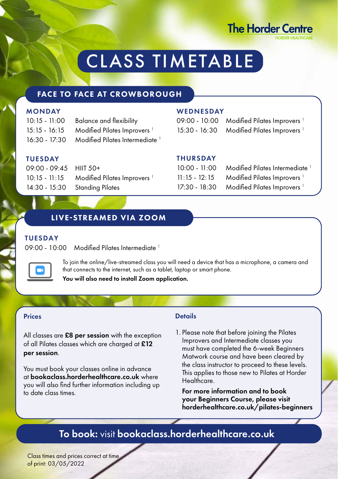

# CLASS TIMETABLE

### FACE TO FACE AT CROWBOROUGH

### **MONDAY**

| $10:15 - 11:00$ | <b>Balance and flexibility</b>                |
|-----------------|-----------------------------------------------|
| $15:15 - 16:15$ | Modified Pilates Improvers <sup>1</sup>       |
|                 | 16:30 - 17:30 Modified Pilates Intermediate 1 |

### **TUESDAY**

| 09:00 - 09:45 HIIT 50+ |                                                       |
|------------------------|-------------------------------------------------------|
|                        | 10:15 - 11:15 Modified Pilates Improvers <sup>1</sup> |
|                        | 14:30 - 15:30 Standing Pilates                        |

### **WEDNESDAY**

09:00 - 10:00 Modified Pilates Improvers<sup>1</sup> 15:30 - 16:30 Modified Pilates Improvers<sup>1</sup>

#### THURSDAY

| $10:00 - 11:00$ | Modified Pilates Intermediate <sup>1</sup> |
|-----------------|--------------------------------------------|
| $11:15 - 12:15$ | Modified Pilates Improvers <sup>1</sup>    |
| 17:30 - 18:30   | Modified Pilates Improvers <sup>1</sup>    |

### LIVE-STREAMED VIA ZOOM

### TUESDAY

09:00 - 10:00 Modified Pilates Intermediate 1



To join the online/live-streamed class you will need a device that has a microphone, a camera and that connects to the internet, such as a tablet, laptop or smart phone.

You will also need to install Zoom application.

### Prices

All classes are £8 per session with the exception of all Pilates classes which are charged at £12 per session.

You must book your classes online in advance at bookaclass.horderhealthcare.co.uk where you will also find further information including up to date class times.

### Details

1. Please note that before joining the Pilates Improvers and Intermediate classes you must have completed the 6-week Beginners Matwork course and have been cleared by the class instructor to proceed to these levels. This applies to those new to Pilates at Horder Healthcare.

For more information and to book your Beginners Course, please visit horderhealthcare.co.uk/pilates-beginners

### To book: visit bookaclass.horderhealthcare.co.uk

Class times and prices correct at time of print: 03/05/2022